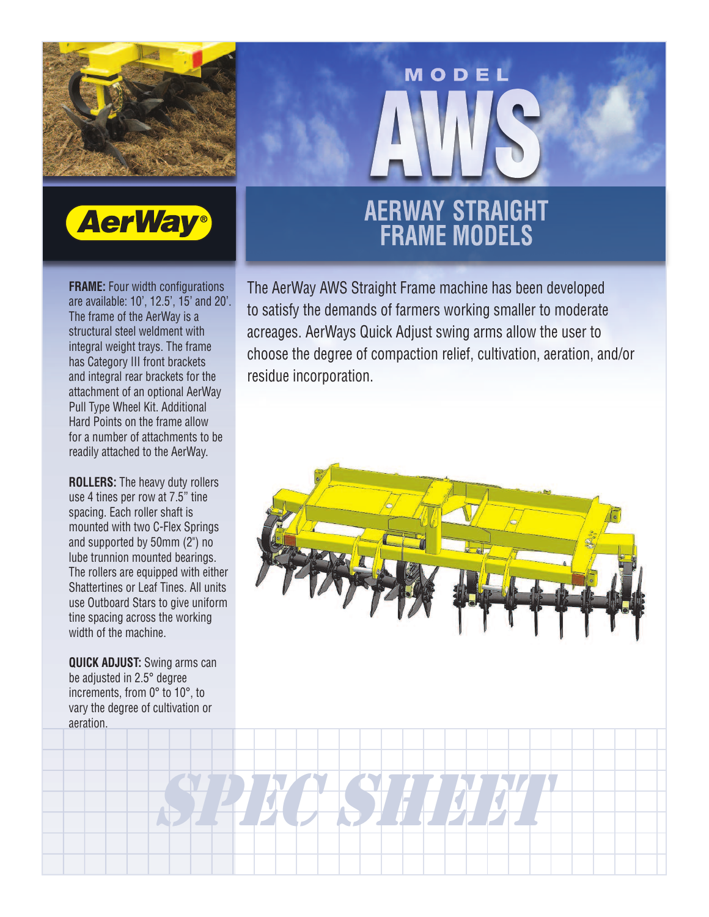



**FRAME:** Four width configurations are available: 10', 12.5', 15' and 20'. The frame of the AerWay is a structural steel weldment with integral weight trays. The frame has Category III front brackets and integral rear brackets for the attachment of an optional AerWay Pull Type Wheel Kit. Additional Hard Points on the frame allow for a number of attachments to be readily attached to the AerWay.

**ROLLERS:** The heavy duty rollers use 4 tines per row at 7.5" tine spacing. Each roller shaft is mounted with two C-Flex Springs and supported by 50mm (2") no lube trunnion mounted bearings. The rollers are equipped with either Shattertines or Leaf Tines. All units use Outboard Stars to give uniform tine spacing across the working width of the machine.

**QUICK ADJUST:** Swing arms can be adjusted in 2.5° degree increments, from 0° to 10°, to vary the degree of cultivation or aeration.

## **AERWAY STRAIGHT<br>FRAME MODELS**

MODEL

The AerWay AWS Straight Frame machine has been developed to satisfy the demands of farmers working smaller to moderate acreages. AerWays Quick Adjust swing arms allow the user to choose the degree of compaction relief, cultivation, aeration, and/or residue incorporation.



SPECIES HEET